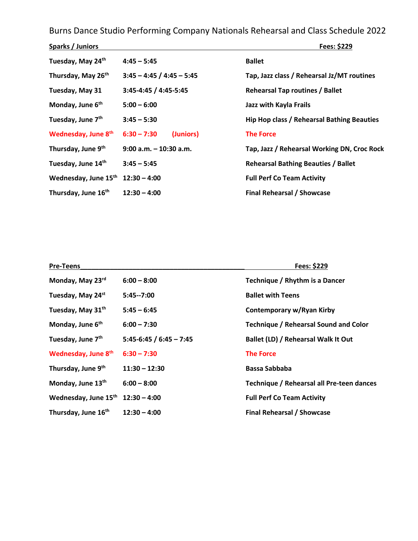Burns Dance Studio Performing Company Nationals Rehearsal and Class Schedule 2022

| Sparks / Juniors               |                             | Fees: \$229                                 |
|--------------------------------|-----------------------------|---------------------------------------------|
| Tuesday, May 24th              | $4:45 - 5:45$               | <b>Ballet</b>                               |
| Thursday, May 26 <sup>th</sup> | $3:45 - 4:45 / 4:45 - 5:45$ | Tap, Jazz class / Rehearsal Jz/MT routines  |
| Tuesday, May 31                | 3:45-4:45 / 4:45-5:45       | <b>Rehearsal Tap routines / Ballet</b>      |
| Monday, June 6 <sup>th</sup>   | $5:00 - 6:00$               | Jazz with Kayla Frails                      |
| Tuesday, June 7 <sup>th</sup>  | $3:45 - 5:30$               | Hip Hop class / Rehearsal Bathing Beauties  |
| Wednesday, June 8th            | $6:30 - 7:30$<br>(Juniors)  | <b>The Force</b>                            |
| Thursday, June 9 <sup>th</sup> | $9:00$ a.m. $-10:30$ a.m.   | Tap, Jazz / Rehearsal Working DN, Croc Rock |
| Tuesday, June 14th             | $3:45 - 5:45$               | <b>Rehearsal Bathing Beauties / Ballet</b>  |
| Wednesday, June 15th           | $12:30 - 4:00$              | <b>Full Perf Co Team Activity</b>           |
| Thursday, June 16th            | $12:30 - 4:00$              | <b>Final Rehearsal / Showcase</b>           |

| <b>Pre-Teens</b>              |                           | Fees: \$229                                  |
|-------------------------------|---------------------------|----------------------------------------------|
| Monday, May 23rd              | $6:00 - 8:00$             | Technique / Rhythm is a Dancer               |
| Tuesday, May 24st             | $5:45--7:00$              | <b>Ballet with Teens</b>                     |
| Tuesday, May 31th             | $5:45 - 6:45$             | Contemporary w/Ryan Kirby                    |
| Monday, June 6 <sup>th</sup>  | $6:00 - 7:30$             | <b>Technique / Rehearsal Sound and Color</b> |
| Tuesday, June 7 <sup>th</sup> | $5:45-6:45 / 6:45 - 7:45$ | Ballet (LD) / Rehearsal Walk It Out          |
| Wednesday, June 8th           | $6:30 - 7:30$             | <b>The Force</b>                             |
| Thursday, June 9th            | $11:30 - 12:30$           | Bassa Sabbaba                                |
| Monday, June 13th             | $6:00 - 8:00$             | Technique / Rehearsal all Pre-teen dances    |
| Wednesday, June 15th          | $12:30 - 4:00$            | <b>Full Perf Co Team Activity</b>            |
| Thursday, June 16th           | $12:30 - 4:00$            | <b>Final Rehearsal / Showcase</b>            |